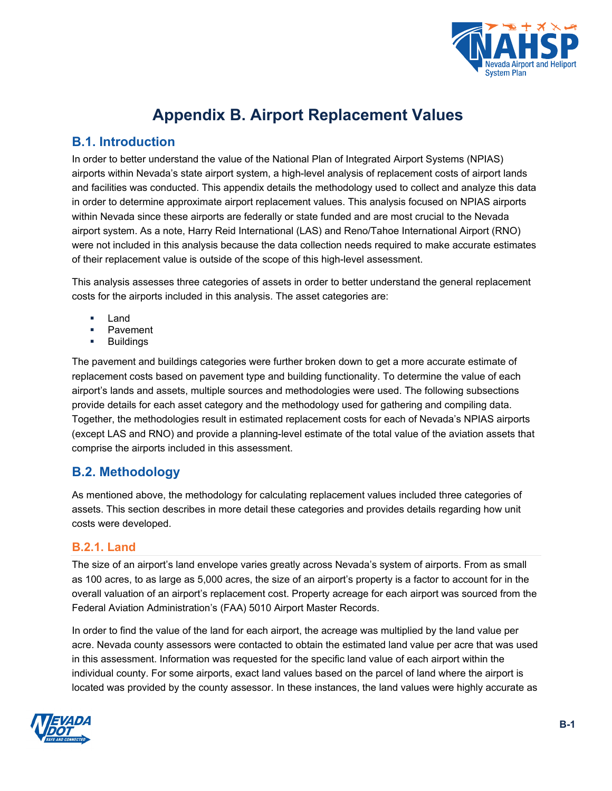

# **Appendix B. Airport Replacement Values**

### **B.1. Introduction**

In order to better understand the value of the National Plan of Integrated Airport Systems (NPIAS) airports within Nevada's state airport system, a high-level analysis of replacement costs of airport lands and facilities was conducted. This appendix details the methodology used to collect and analyze this data in order to determine approximate airport replacement values. This analysis focused on NPIAS airports within Nevada since these airports are federally or state funded and are most crucial to the Nevada airport system. As a note, Harry Reid International (LAS) and Reno/Tahoe International Airport (RNO) were not included in this analysis because the data collection needs required to make accurate estimates of their replacement value is outside of the scope of this high-level assessment.

This analysis assesses three categories of assets in order to better understand the general replacement costs for the airports included in this analysis. The asset categories are:

- Land
- Pavement
- Buildings

The pavement and buildings categories were further broken down to get a more accurate estimate of replacement costs based on pavement type and building functionality. To determine the value of each airport's lands and assets, multiple sources and methodologies were used. The following subsections provide details for each asset category and the methodology used for gathering and compiling data. Together, the methodologies result in estimated replacement costs for each of Nevada's NPIAS airports (except LAS and RNO) and provide a planning-level estimate of the total value of the aviation assets that comprise the airports included in this assessment.

# **B.2. Methodology**

As mentioned above, the methodology for calculating replacement values included three categories of assets. This section describes in more detail these categories and provides details regarding how unit costs were developed.

#### **B.2.1. Land**

The size of an airport's land envelope varies greatly across Nevada's system of airports. From as small as 100 acres, to as large as 5,000 acres, the size of an airport's property is a factor to account for in the overall valuation of an airport's replacement cost. Property acreage for each airport was sourced from the Federal Aviation Administration's (FAA) 5010 Airport Master Records.

In order to find the value of the land for each airport, the acreage was multiplied by the land value per acre. Nevada county assessors were contacted to obtain the estimated land value per acre that was used in this assessment. Information was requested for the specific land value of each airport within the individual county. For some airports, exact land values based on the parcel of land where the airport is located was provided by the county assessor. In these instances, the land values were highly accurate as

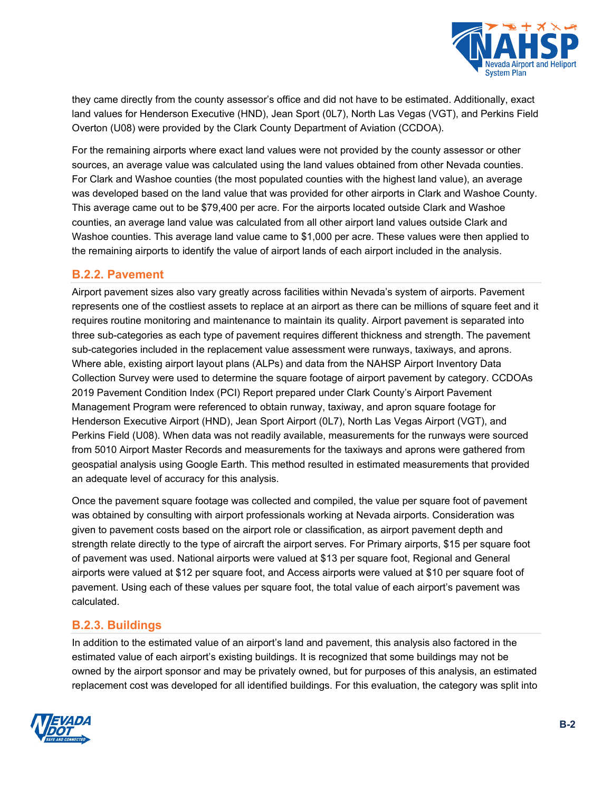

they came directly from the county assessor's office and did not have to be estimated. Additionally, exact land values for Henderson Executive (HND), Jean Sport (0L7), North Las Vegas (VGT), and Perkins Field Overton (U08) were provided by the Clark County Department of Aviation (CCDOA).

For the remaining airports where exact land values were not provided by the county assessor or other sources, an average value was calculated using the land values obtained from other Nevada counties. For Clark and Washoe counties (the most populated counties with the highest land value), an average was developed based on the land value that was provided for other airports in Clark and Washoe County. This average came out to be \$79,400 per acre. For the airports located outside Clark and Washoe counties, an average land value was calculated from all other airport land values outside Clark and Washoe counties. This average land value came to \$1,000 per acre. These values were then applied to the remaining airports to identify the value of airport lands of each airport included in the analysis.

#### **B.2.2. Pavement**

Airport pavement sizes also vary greatly across facilities within Nevada's system of airports. Pavement represents one of the costliest assets to replace at an airport as there can be millions of square feet and it requires routine monitoring and maintenance to maintain its quality. Airport pavement is separated into three sub-categories as each type of pavement requires different thickness and strength. The pavement sub-categories included in the replacement value assessment were runways, taxiways, and aprons. Where able, existing airport layout plans (ALPs) and data from the NAHSP Airport Inventory Data Collection Survey were used to determine the square footage of airport pavement by category. CCDOAs 2019 Pavement Condition Index (PCI) Report prepared under Clark County's Airport Pavement Management Program were referenced to obtain runway, taxiway, and apron square footage for Henderson Executive Airport (HND), Jean Sport Airport (0L7), North Las Vegas Airport (VGT), and Perkins Field (U08). When data was not readily available, measurements for the runways were sourced from 5010 Airport Master Records and measurements for the taxiways and aprons were gathered from geospatial analysis using Google Earth. This method resulted in estimated measurements that provided an adequate level of accuracy for this analysis.

Once the pavement square footage was collected and compiled, the value per square foot of pavement was obtained by consulting with airport professionals working at Nevada airports. Consideration was given to pavement costs based on the airport role or classification, as airport pavement depth and strength relate directly to the type of aircraft the airport serves. For Primary airports, \$15 per square foot of pavement was used. National airports were valued at \$13 per square foot, Regional and General airports were valued at \$12 per square foot, and Access airports were valued at \$10 per square foot of pavement. Using each of these values per square foot, the total value of each airport's pavement was calculated.

#### **B.2.3. Buildings**

In addition to the estimated value of an airport's land and pavement, this analysis also factored in the estimated value of each airport's existing buildings. It is recognized that some buildings may not be owned by the airport sponsor and may be privately owned, but for purposes of this analysis, an estimated replacement cost was developed for all identified buildings. For this evaluation, the category was split into

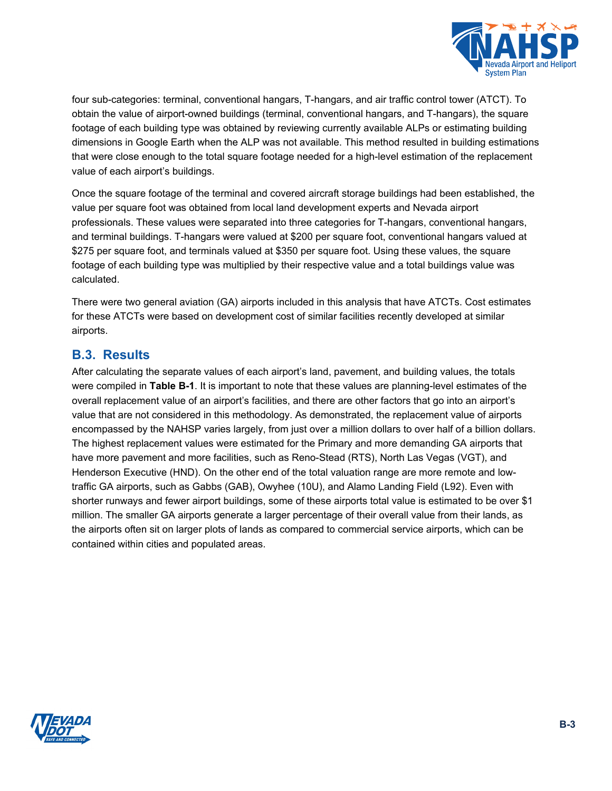

four sub-categories: terminal, conventional hangars, T-hangars, and air traffic control tower (ATCT). To obtain the value of airport-owned buildings (terminal, conventional hangars, and T-hangars), the square footage of each building type was obtained by reviewing currently available ALPs or estimating building dimensions in Google Earth when the ALP was not available. This method resulted in building estimations that were close enough to the total square footage needed for a high-level estimation of the replacement value of each airport's buildings.

Once the square footage of the terminal and covered aircraft storage buildings had been established, the value per square foot was obtained from local land development experts and Nevada airport professionals. These values were separated into three categories for T-hangars, conventional hangars, and terminal buildings. T-hangars were valued at \$200 per square foot, conventional hangars valued at \$275 per square foot, and terminals valued at \$350 per square foot. Using these values, the square footage of each building type was multiplied by their respective value and a total buildings value was calculated.

There were two general aviation (GA) airports included in this analysis that have ATCTs. Cost estimates for these ATCTs were based on development cost of similar facilities recently developed at similar airports.

## **B.3. Results**

After calculating the separate values of each airport's land, pavement, and building values, the totals were compiled in **[Table B-1](#page-3-0)**. It is important to note that these values are planning-level estimates of the overall replacement value of an airport's facilities, and there are other factors that go into an airport's value that are not considered in this methodology. As demonstrated, the replacement value of airports encompassed by the NAHSP varies largely, from just over a million dollars to over half of a billion dollars. The highest replacement values were estimated for the Primary and more demanding GA airports that have more pavement and more facilities, such as Reno-Stead (RTS), North Las Vegas (VGT), and Henderson Executive (HND). On the other end of the total valuation range are more remote and lowtraffic GA airports, such as Gabbs (GAB), Owyhee (10U), and Alamo Landing Field (L92). Even with shorter runways and fewer airport buildings, some of these airports total value is estimated to be over \$1 million. The smaller GA airports generate a larger percentage of their overall value from their lands, as the airports often sit on larger plots of lands as compared to commercial service airports, which can be contained within cities and populated areas.